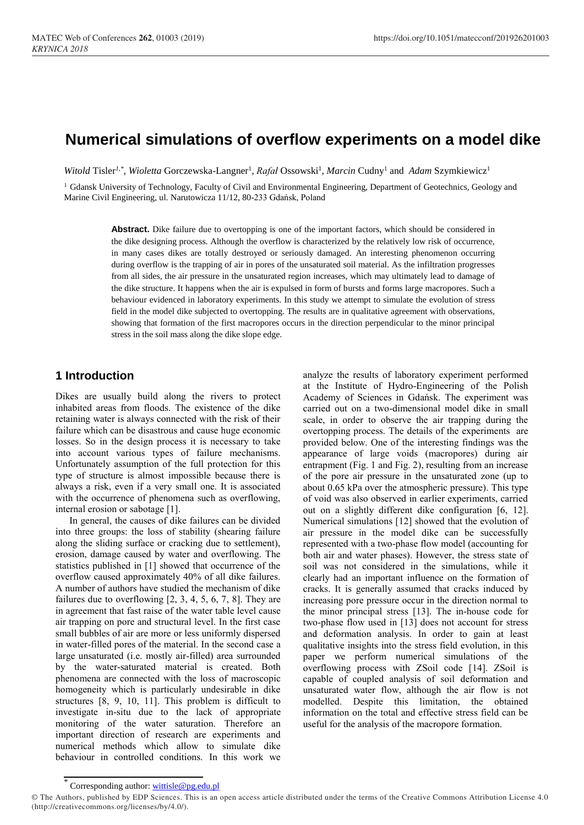# **Numerical simulations of overflow experiments on a model dike**

*Witold Tisler<sup>1,\*</sup>, Wioletta Gorczewska-Langner<sup>1</sup>, <i>Rafał Ossowski<sup>1</sup>, Marcin* Cudny<sup>1</sup> and *Adam Szymkiewicz<sup>1</sup>* 

<sup>1</sup> Gdansk University of Technology, Faculty of Civil and Environmental Engineering, Department of Geotechnics, Geology and Marine Civil Engineering, ul. Narutowicza 11/12, 80-233 Gdańsk, Poland

> **Abstract.** Dike failure due to overtopping is one of the important factors, which should be considered in the dike designing process. Although the overflow is characterized by the relatively low risk of occurrence, in many cases dikes are totally destroyed or seriously damaged. An interesting phenomenon occurring during overflow is the trapping of air in pores of the unsaturated soil material. As the infiltration progresses from all sides, the air pressure in the unsaturated region increases, which may ultimately lead to damage of the dike structure. It happens when the air is expulsed in form of bursts and forms large macropores. Such a behaviour evidenced in laboratory experiments. In this study we attempt to simulate the evolution of stress field in the model dike subjected to overtopping. The results are in qualitative agreement with observations, showing that formation of the first macropores occurs in the direction perpendicular to the minor principal stress in the soil mass along the dike slope edge.

## **1 Introduction**

Dikes are usually build along the rivers to protect inhabited areas from floods. The existence of the dike retaining water is always connected with the risk of their failure which can be disastrous and cause huge economic losses. So in the design process it is necessary to take into account various types of failure mechanisms. Unfortunately assumption of the full protection for this type of structure is almost impossible because there is always a risk, even if a very small one. It is associated with the occurrence of phenomena such as overflowing, internal erosion or sabotage [1].

In general, the causes of dike failures can be divided into three groups: the loss of stability (shearing failure along the sliding surface or cracking due to settlement), erosion, damage caused by water and overflowing. The statistics published in [1] showed that occurrence of the overflow caused approximately 40% of all dike failures. A number of authors have studied the mechanism of dike failures due to overflowing  $[2, 3, 4, 5, 6, 7, 8]$ . They are in agreement that fast raise of the water table level cause air trapping on pore and structural level. In the first case small bubbles of air are more or less uniformly dispersed in water-filled pores of the material. In the second case a large unsaturated (i.e. mostly air-filled) area surrounded by the water-saturated material is created. Both phenomena are connected with the loss of macroscopic homogeneity which is particularly undesirable in dike structures [8, 9, 10, 11]. This problem is difficult to investigate in-situ due to the lack of appropriate monitoring of the water saturation. Therefore an important direction of research are experiments and numerical methods which allow to simulate dike behaviour in controlled conditions. In this work we

analyze the results of laboratory experiment performed at the Institute of Hydro-Engineering of the Polish Academy of Sciences in Gdańsk. The experiment was carried out on a two-dimensional model dike in small scale, in order to observe the air trapping during the overtopping process. The details of the experiments are provided below. One of the interesting findings was the appearance of large voids (macropores) during air entrapment (Fig. 1 and Fig. 2), resulting from an increase of the pore air pressure in the unsaturated zone (up to about 0.65 kPa over the atmospheric pressure). This type of void was also observed in earlier experiments, carried out on a slightly different dike configuration [6, 12]. Numerical simulations [12] showed that the evolution of air pressure in the model dike can be successfully represented with a two-phase flow model (accounting for both air and water phases). However, the stress state of soil was not considered in the simulations, while it clearly had an important influence on the formation of cracks. It is generally assumed that cracks induced by increasing pore pressure occur in the direction normal to the minor principal stress [13]. The in-house code for two-phase flow used in [13] does not account for stress and deformation analysis. In order to gain at least qualitative insights into the stress field evolution, in this paper we perform numerical simulations of the overflowing process with ZSoil code [14]. ZSoil is capable of coupled analysis of soil deformation and unsaturated water flow, although the air flow is not modelled. Despite this limitation, the obtained information on the total and effective stress field can be useful for the analysis of the macropore formation.

<sup>\*</sup> Corresponding author[: wittisle@pg.edu.pl](mailto:wittisle@pg.edu.pl)

<sup>©</sup> The Authors, published by EDP Sciences. This is an open access article distributed under the terms of the Creative Commons Attribution License 4.0 (http://creativecommons.org/licenses/by/4.0/).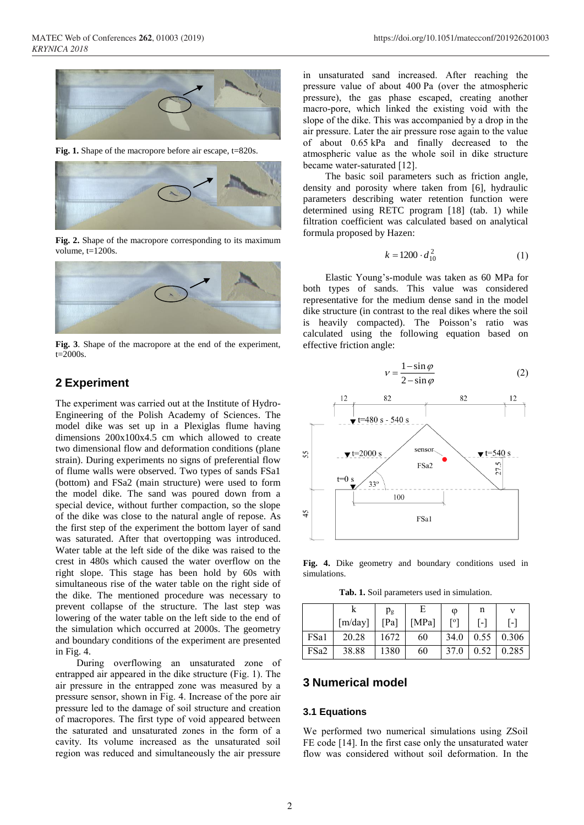

**Fig. 1.** Shape of the macropore before air escape, t=820s.



**Fig. 2.** Shape of the macropore corresponding to its maximum volume,  $t=1200s$ .



**Fig. 3**. Shape of the macropore at the end of the experiment,  $t=2000s$ .

### **2 Experiment**

The experiment was carried out at the Institute of Hydro-Engineering of the Polish Academy of Sciences. The model dike was set up in a Plexiglas flume having dimensions 200x100x4.5 cm which allowed to create two dimensional flow and deformation conditions (plane strain). During experiments no signs of preferential flow of flume walls were observed. Two types of sands FSa1 (bottom) and FSa2 (main structure) were used to form the model dike. The sand was poured down from a special device, without further compaction, so the slope of the dike was close to the natural angle of repose. As the first step of the experiment the bottom layer of sand was saturated. After that overtopping was introduced. Water table at the left side of the dike was raised to the crest in 480s which caused the water overflow on the right slope. This stage has been hold by 60s with simultaneous rise of the water table on the right side of the dike. The mentioned procedure was necessary to prevent collapse of the structure. The last step was lowering of the water table on the left side to the end of the simulation which occurred at 2000s. The geometry and boundary conditions of the experiment are presented in Fig. 4.

During overflowing an unsaturated zone of entrapped air appeared in the dike structure (Fig. 1). The air pressure in the entrapped zone was measured by a pressure sensor, shown in Fig. 4. Increase of the pore air pressure led to the damage of soil structure and creation of macropores. The first type of void appeared between the saturated and unsaturated zones in the form of a cavity. Its volume increased as the unsaturated soil region was reduced and simultaneously the air pressure

in unsaturated sand increased. After reaching the pressure value of about 400 Pa (over the atmospheric pressure), the gas phase escaped, creating another macro-pore, which linked the existing void with the slope of the dike. This was accompanied by a drop in the air pressure. Later the air pressure rose again to the value of about 0.65 kPa and finally decreased to the atmospheric value as the whole soil in dike structure became water-saturated [12].

The basic soil parameters such as friction angle, density and porosity where taken from [6], hydraulic parameters describing water retention function were determined using RETC program [18] (tab. 1) while filtration coefficient was calculated based on analytical formula proposed by Hazen:

$$
k = 1200 \cdot d_{10}^{2} \tag{1}
$$

Elastic Young's-module was taken as 60 MPa for both types of sands. This value was considered representative for the medium dense sand in the model dike structure (in contrast to the real dikes where the soil is heavily compacted). The Poisson's ratio was calculated using the following equation based on effective friction angle:



**Fig. 4.** Dike geometry and boundary conditions used in simulations.

**Tab. 1.** Soil parameters used in simulation.

|      |                                | $p_{g}$ | Е         | $\omega$ | n |                  |
|------|--------------------------------|---------|-----------|----------|---|------------------|
|      | $\lceil m / \text{day} \rceil$ | [Pa]    | [ $MPa$ ] | [°]      |   |                  |
| FSa1 | 20.28                          | 1672    | 60        | 34.0     |   | $0.55 \pm 0.306$ |
| FSa2 | 38.88                          | 1380    | 60        | 37.0     |   | $0.52 \pm 0.285$ |

# **3 Numerical model**

#### **3.1 Equations**

We performed two numerical simulations using ZSoil FE code [14]. In the first case only the unsaturated water flow was considered without soil deformation. In the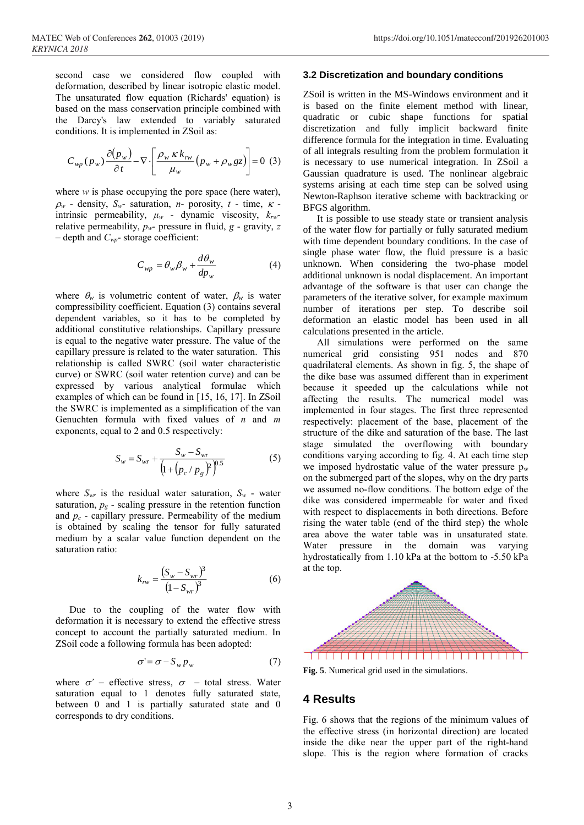second case we considered flow coupled with deformation, described by linear isotropic elastic model. The unsaturated flow equation (Richards' equation) is based on the mass conservation principle combined with the Darcy's law extended to variably saturated conditions. It is implemented in ZSoil as:

$$
C_{wp}(p_w)\frac{\partial (p_w)}{\partial t} - \nabla \cdot \left[ \frac{\rho_w \kappa k_{rw}}{\mu_w} (p_w + \rho_w gz) \right] = 0 \tag{3}
$$

where *w* is phase occupying the pore space (here water),  $\rho_w$  - density,  $S_w$ - saturation, *n*- porosity, *t* - time,  $\kappa$  intrinsic permeability, *μ<sup>w</sup>* - dynamic viscosity, *krw*relative permeability, *pw*- pressure in fluid, *g* - gravity, *z* – depth and *Cwp*- storage coefficient:

$$
C_{wp} = \theta_w \beta_w + \frac{d\theta_w}{dp_w} \tag{4}
$$

where  $\theta_w$  is volumetric content of water,  $\beta_w$  is water compressibility coefficient. Equation (3) contains several dependent variables, so it has to be completed by additional constitutive relationships. Capillary pressure is equal to the negative water pressure. The value of the capillary pressure is related to the water saturation. This relationship is called SWRC (soil water characteristic curve) or SWRC (soil water retention curve) and can be expressed by various analytical formulae which examples of which can be found in [15, 16, 17]. In ZSoil the SWRC is implemented as a simplification of the van Genuchten formula with fixed values of *n* and *m* exponents, equal to 2 and 0.5 respectively:

$$
S_w = S_{wr} + \frac{S_w - S_{wr}}{\left(1 + \left(p_c / p_g\right)^2\right)^{0.5}}\tag{5}
$$

where  $S_{wr}$  is the residual water saturation,  $S_w$  - water saturation,  $p<sub>g</sub>$  - scaling pressure in the retention function and *p<sup>c</sup>* - capillary pressure. Permeability of the medium is obtained by scaling the tensor for fully saturated medium by a scalar value function dependent on the saturation ratio:

$$
k_{rw} = \frac{(S_w - S_{wr})^3}{(1 - S_{wr})^3}
$$
 (6)

Due to the coupling of the water flow with deformation it is necessary to extend the effective stress concept to account the partially saturated medium. In ZSoil code a following formula has been adopted:

$$
\sigma' = \sigma - S_w p_w \tag{7}
$$

where  $\sigma'$  – effective stress,  $\sigma$  – total stress. Water saturation equal to 1 denotes fully saturated state, between 0 and 1 is partially saturated state and 0 corresponds to dry conditions.

### **3.2 Discretization and boundary conditions**

ZSoil is written in the MS-Windows environment and it is based on the finite element method with linear, quadratic or cubic shape functions for spatial discretization and fully implicit backward finite difference formula for the integration in time. Evaluating of all integrals resulting from the problem formulation it is necessary to use numerical integration. In ZSoil a Gaussian quadrature is used. The nonlinear algebraic systems arising at each time step can be solved using Newton-Raphson iterative scheme with backtracking or BFGS algorithm.

It is possible to use steady state or transient analysis of the water flow for partially or fully saturated medium with time dependent boundary conditions. In the case of single phase water flow, the fluid pressure is a basic unknown. When considering the two-phase model additional unknown is nodal displacement. An important advantage of the software is that user can change the parameters of the iterative solver, for example maximum number of iterations per step. To describe soil deformation an elastic model has been used in all calculations presented in the article.

All simulations were performed on the same numerical grid consisting 951 nodes and 870 quadrilateral elements. As shown in fig. 5, the shape of the dike base was assumed different than in experiment because it speeded up the calculations while not affecting the results. The numerical model was implemented in four stages. The first three represented respectively: placement of the base, placement of the structure of the dike and saturation of the base. The last stage simulated the overflowing with boundary conditions varying according to fig. 4. At each time step we imposed hydrostatic value of the water pressure  $p_w$ on the submerged part of the slopes, why on the dry parts we assumed no-flow conditions. The bottom edge of the dike was considered impermeable for water and fixed with respect to displacements in both directions. Before rising the water table (end of the third step) the whole area above the water table was in unsaturated state. Water pressure in the domain was varying hydrostatically from 1.10 kPa at the bottom to -5.50 kPa at the top.



**Fig. 5**. Numerical grid used in the simulations.

### **4 Results**

Fig. 6 shows that the regions of the minimum values of the effective stress (in horizontal direction) are located inside the dike near the upper part of the right-hand slope. This is the region where formation of cracks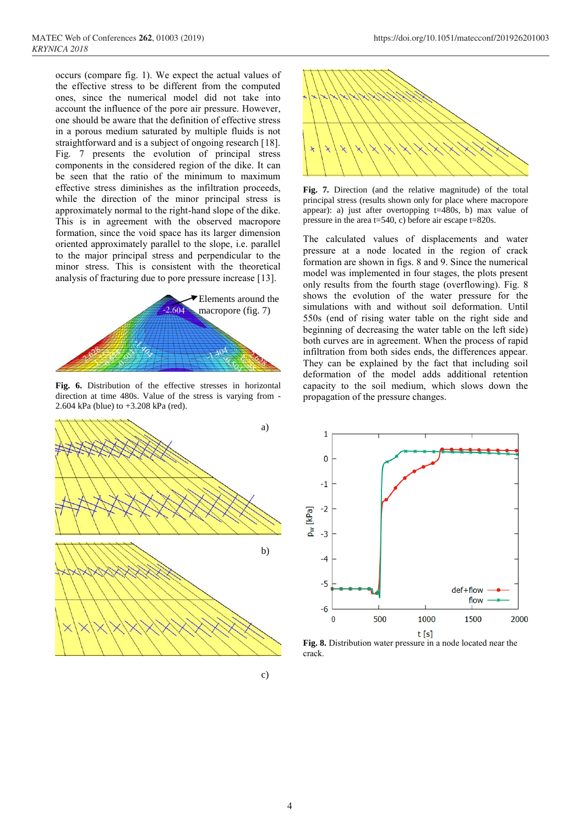occurs (compare fig. 1). We expect the actual values of the effective stress to be different from the computed ones, since the numerical model did not take into account the influence of the pore air pressure. However, one should be aware that the definition of effective stress in a porous medium saturated by multiple fluids is not straightforward and is a subject of ongoing research [18]. Fig. 7 presents the evolution of principal stress components in the considered region of the dike. It can be seen that the ratio of the minimum to maximum effective stress diminishes as the infiltration proceeds, while the direction of the minor principal stress is approximately normal to the right-hand slope of the dike. This is in agreement with the observed macropore formation, since the void space has its larger dimension oriented approximately parallel to the slope, i.e. parallel to the major principal stress and perpendicular to the minor stress. This is consistent with the theoretical analysis of fracturing due to pore pressure increase [13].



**Fig. 6.** Distribution of the effective stresses in horizontal direction at time 480s. Value of the stress is varying from - 2.604 kPa (blue) to +3.208 kPa (red).





**Fig. 7.** Direction (and the relative magnitude) of the total principal stress (results shown only for place where macropore appear): a) just after overtopping t=480s, b) max value of pressure in the area t=540, c) before air escape t=820s.

The calculated values of displacements and water pressure at a node located in the region of crack formation are shown in figs. 8 and 9. Since the numerical model was implemented in four stages, the plots present only results from the fourth stage (overflowing). Fig. 8 shows the evolution of the water pressure for the simulations with and without soil deformation. Until 550s (end of rising water table on the right side and beginning of decreasing the water table on the left side) both curves are in agreement. When the process of rapid infiltration from both sides ends, the differences appear. They can be explained by the fact that including soil deformation of the model adds additional retention capacity to the soil medium, which slows down the propagation of the pressure changes.



**Fig. 8.** Distribution water pressure in a node located near the crack.